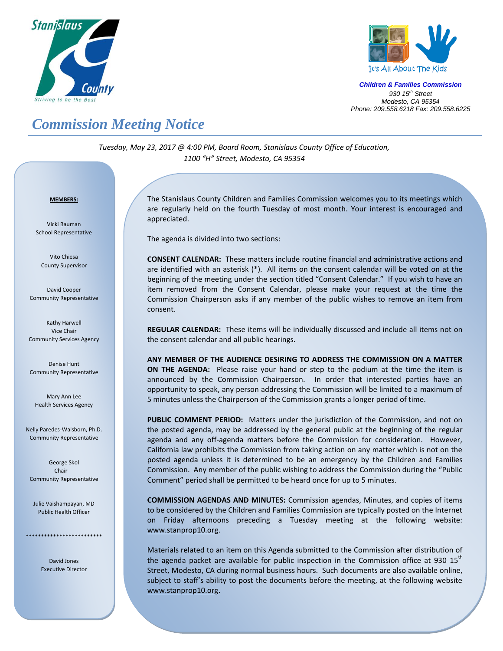



*Children & Families Commission 930 15 th Street Modesto, CA 95354 Phone: 209.558.6218 Fax: 209.558.6225*

## *Commission Meeting Notice*

*Tuesday, May 23, 2017 @ 4:00 PM, Board Room, Stanislaus County Office of Education, 1100 "H" Street, Modesto, CA 95354*

## *<sup>U</sup>***MEMBERS:**

Vicki Bauman School Representative

Vito Chiesa County Supervisor

David Cooper Community Representative

Kathy Harwell Vice Chair Community Services Agency

Denise Hunt Community Representative

Mary Ann Lee Health Services Agency

Nelly Paredes-Walsborn, Ph.D. Community Representative

George Skol Chair Community Representative

Julie Vaishampayan, MD Public Health Officer

\*\*\*\*\*\*\*\*\*\*\*\*\*\*\*\*\*\*\*\*\*\*\*\*\*

David Jones Executive Director The Stanislaus County Children and Families Commission welcomes you to its meetings which are regularly held on the fourth Tuesday of most month. Your interest is encouraged and appreciated.

The agenda is divided into two sections:

**CONSENT CALENDAR:** These matters include routine financial and administrative actions and are identified with an asterisk (\*). All items on the consent calendar will be voted on at the beginning of the meeting under the section titled "Consent Calendar." If you wish to have an item removed from the Consent Calendar, please make your request at the time the Commission Chairperson asks if any member of the public wishes to remove an item from consent.

**REGULAR CALENDAR:** These items will be individually discussed and include all items not on the consent calendar and all public hearings.

**ANY MEMBER OF THE AUDIENCE DESIRING TO ADDRESS THE COMMISSION ON A MATTER ON THE AGENDA:** Please raise your hand or step to the podium at the time the item is announced by the Commission Chairperson. In order that interested parties have an opportunity to speak, any person addressing the Commission will be limited to a maximum of 5 minutes unless the Chairperson of the Commission grants a longer period of time.

**PUBLIC COMMENT PERIOD:** Matters under the jurisdiction of the Commission, and not on the posted agenda, may be addressed by the general public at the beginning of the regular agenda and any off-agenda matters before the Commission for consideration. However, California law prohibits the Commission from taking action on any matter which is not on the posted agenda unless it is determined to be an emergency by the Children and Families Commission. Any member of the public wishing to address the Commission during the "Public Comment" period shall be permitted to be heard once for up to 5 minutes.

**COMMISSION AGENDAS AND MINUTES:** Commission agendas, Minutes, and copies of items to be considered by the Children and Families Commission are typically posted on the Internet on Friday afternoons preceding a Tuesday meeting at the following website: [www.stanprop10.org](http://www.stanprop10.org/).

Materials related to an item on this Agenda submitted to the Commission after distribution of the agenda packet are available for public inspection in the Commission office at 930 15<sup>th</sup> Street, Modesto, CA during normal business hours. Such documents are also available online, subject to staff's ability to post the documents before the meeting, at the following website [www.stanprop10.org](http://www.stanprop10.org/).